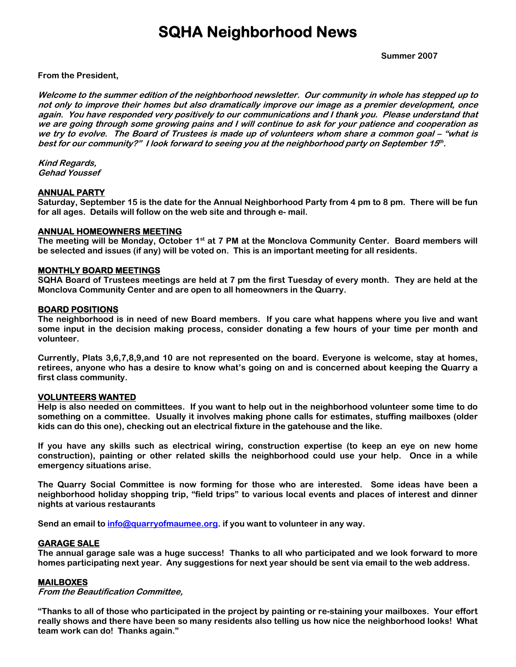### **SQHA Neighborhood News**

 **Summer 2007** 

**From the President,**

**Welcome to the summer edition of the neighborhood newsletter. Our community in whole has stepped up to not only to improve their homes but also dramatically improve our image as a premier development, once again. You have responded very positively to our communications and I thank you. Please understand that we are going through some growing pains and I will continue to ask for your patience and cooperation as we try to evolve. The Board of Trustees is made up of volunteers whom share a common goal – "what is best for our community?" I look forward to seeing you at the neighborhood party on September 15th .** 

**Kind Regards, Gehad Youssef** 

#### **ANNUAL PARTY**

**Saturday, September 15 is the date for the Annual Neighborhood Party from 4 pm to 8 pm. There will be fun for all ages. Details will follow on the web site and through e- mail.** 

#### **ANNUAL HOMEOWNERS MEETING**

The meeting will be Monday, October 1<sup>st</sup> at 7 PM at the Monclova Community Center. Board members will **be selected and issues (if any) will be voted on. This is an important meeting for all residents.** 

#### **MONTHLY BOARD MEETINGS**

**SQHA Board of Trustees meetings are held at 7 pm the first Tuesday of every month. They are held at the Monclova Community Center and are open to all homeowners in the Quarry.** 

#### **BOARD POSITIONS**

**The neighborhood is in need of new Board members. If you care what happens where you live and want some input in the decision making process, consider donating a few hours of your time per month and volunteer.** 

**Currently, Plats 3,6,7,8,9,and 10 are not represented on the board. Everyone is welcome, stay at homes, retirees, anyone who has a desire to know what's going on and is concerned about keeping the Quarry a first class community.** 

#### **VOLUNTEERS WANTED**

**Help is also needed on committees. If you want to help out in the neighborhood volunteer some time to do something on a committee. Usually it involves making phone calls for estimates, stuffing mailboxes (older kids can do this one), checking out an electrical fixture in the gatehouse and the like.** 

**If you have any skills such as electrical wiring, construction expertise (to keep an eye on new home construction), painting or other related skills the neighborhood could use your help. Once in a while emergency situations arise.** 

**The Quarry Social Committee is now forming for those who are interested. Some ideas have been a neighborhood holiday shopping trip, "field trips" to various local events and places of interest and dinner nights at various restaurants** 

**Send an email to [info@quarryofmaumee.org.](mailto:info@quarryofmaumee.org) if you want to volunteer in any way.** 

#### **GARAGE SALE**

**The annual garage sale was a huge success! Thanks to all who participated and we look forward to more homes participating next year. Any suggestions for next year should be sent via email to the web address.** 

#### **MAILBOXES**

**From the Beautification Committee,** 

**"Thanks to all of those who participated in the project by painting or re-staining your mailboxes. Your effort really shows and there have been so many residents also telling us how nice the neighborhood looks! What team work can do! Thanks again."**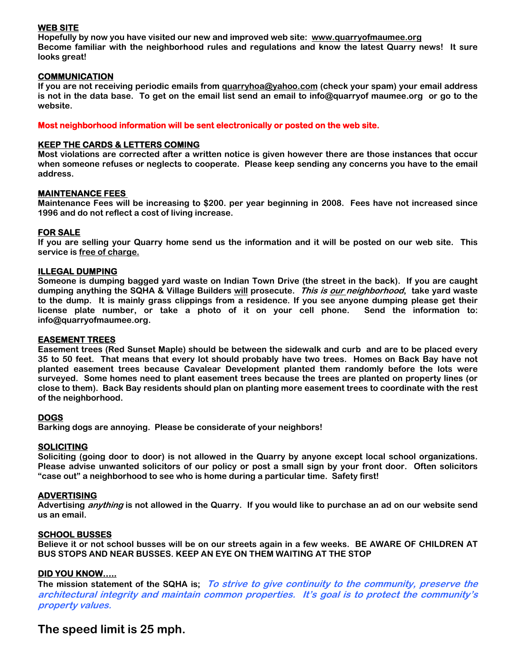### **WEB SITE**

**Hopefully by now you have visited our new and improved web site: [www.quarryofmaumee.org](http://www.quarryofmaumee.org/)  Become familiar with the neighborhood rules and regulations and know the latest Quarry news! It sure looks great!** 

#### **COMMUNICATION**

**If you are not receiving periodic emails from [quarryhoa@yahoo.com](mailto:quarryhoa@yahoo.com) (check your spam) your email address is not in the data base. To get on the email list send an email to info@quarryof maumee.org or go to the website.** 

**Most neighborhood information will be sent electronically or posted on the web site.** 

#### **KEEP THE CARDS & LETTERS COMING**

**Most violations are corrected after a written notice is given however there are those instances that occur when someone refuses or neglects to cooperate. Please keep sending any concerns you have to the email address.** 

#### **MAINTENANCE FEES**

**Maintenance Fees will be increasing to \$200. per year beginning in 2008. Fees have not increased since 1996 and do not reflect a cost of living increase.** 

#### **FOR SALE**

**If you are selling your Quarry home send us the information and it will be posted on our web site. This service is free of charge.**

#### **ILLEGAL DUMPING**

**Someone is dumping bagged yard waste on Indian Town Drive (the street in the back). If you are caught dumping anything the SQHA & Village Builders will prosecute. This is our neighborhood, take yard waste to the dump. It is mainly grass clippings from a residence. If you see anyone dumping please get their license plate number, or take a photo of it on your cell phone. Send the information to: info@quarryofmaumee.org.** 

#### **EASEMENT TREES**

**Easement trees (Red Sunset Maple) should be between the sidewalk and curb and are to be placed every 35 to 50 feet. That means that every lot should probably have two trees. Homes on Back Bay have not planted easement trees because Cavalear Development planted them randomly before the lots were surveyed. Some homes need to plant easement trees because the trees are planted on property lines (or close to them). Back Bay residents should plan on planting more easement trees to coordinate with the rest of the neighborhood.** 

#### **DOGS**

**Barking dogs are annoying. Please be considerate of your neighbors!** 

#### **SOLICITING**

**Soliciting (going door to door) is not allowed in the Quarry by anyone except local school organizations. Please advise unwanted solicitors of our policy or post a small sign by your front door. Often solicitors "case out" a neighborhood to see who is home during a particular time. Safety first!** 

#### **ADVERTISING**

**Advertising anything is not allowed in the Quarry. If you would like to purchase an ad on our website send us an email.** 

#### **SCHOOL BUSSES**

**Believe it or not school busses will be on our streets again in a few weeks. BE AWARE OF CHILDREN AT BUS STOPS AND NEAR BUSSES. KEEP AN EYE ON THEM WAITING AT THE STOP** 

#### **DID YOU KNOW…..**

**The mission statement of the SQHA is; To strive to give continuity to the community, preserve the architectural integrity and maintain common properties. It's goal is to protect the community's property values.** 

### **The speed limit is 25 mph.**